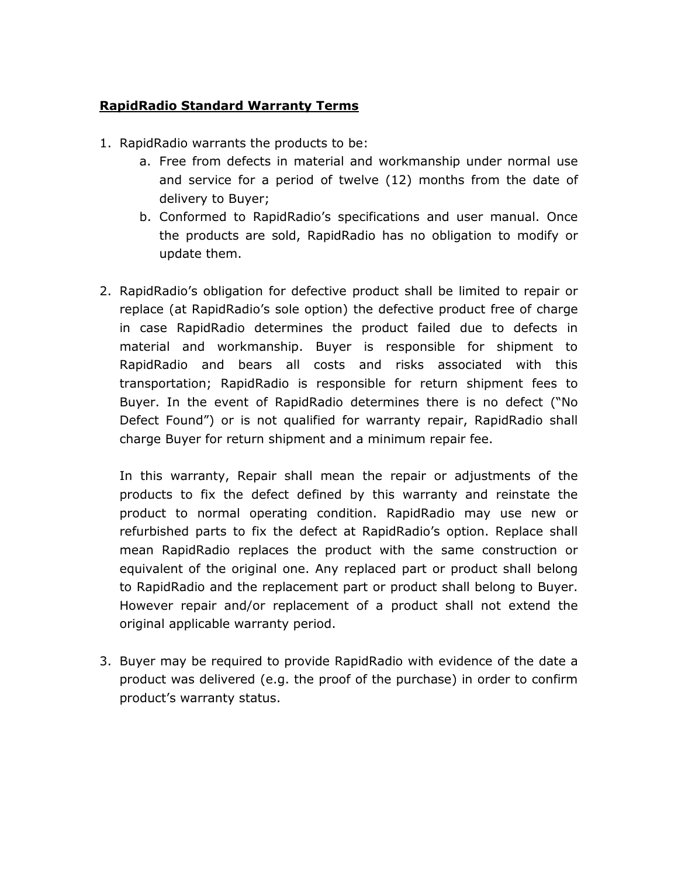## RapidRadio Standard Warranty Terms

- 1. RapidRadio warrants the products to be:
	- a. Free from defects in material and workmanship under normal use and service for a period of twelve (12) months from the date of delivery to Buyer;
	- b. Conformed to RapidRadio's specifications and user manual. Once the products are sold, RapidRadio has no obligation to modify or update them.
- 2. RapidRadio's obligation for defective product shall be limited to repair or replace (at RapidRadio's sole option) the defective product free of charge in case RapidRadio determines the product failed due to defects in material and workmanship. Buyer is responsible for shipment to RapidRadio and bears all costs and risks associated with this transportation; RapidRadio is responsible for return shipment fees to Buyer. In the event of RapidRadio determines there is no defect ("No Defect Found") or is not qualified for warranty repair, RapidRadio shall charge Buyer for return shipment and a minimum repair fee.

In this warranty, Repair shall mean the repair or adjustments of the products to fix the defect defined by this warranty and reinstate the product to normal operating condition. RapidRadio may use new or refurbished parts to fix the defect at RapidRadio's option. Replace shall mean RapidRadio replaces the product with the same construction or equivalent of the original one. Any replaced part or product shall belong to RapidRadio and the replacement part or product shall belong to Buyer. However repair and/or replacement of a product shall not extend the original applicable warranty period.

3. Buyer may be required to provide RapidRadio with evidence of the date a product was delivered (e.g. the proof of the purchase) in order to confirm product's warranty status.